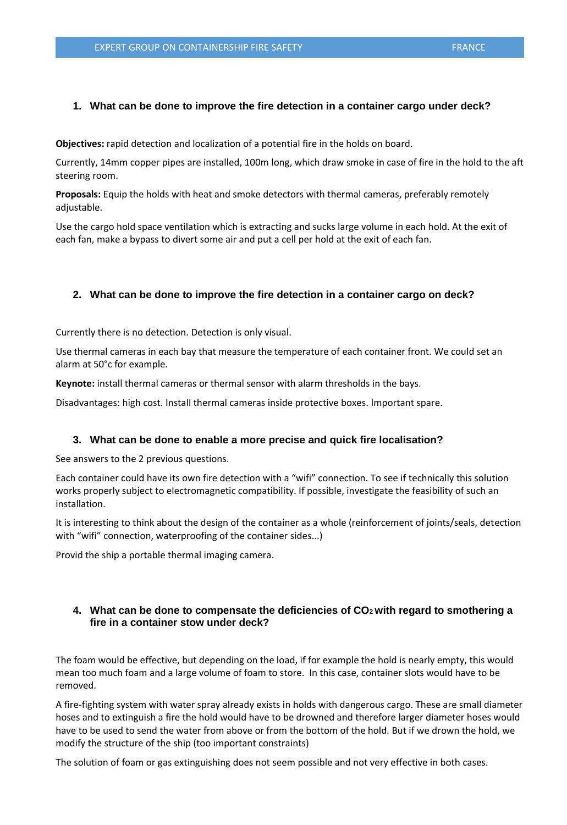### **1. What can be done to improve the fire detection in a container cargo under deck?**

**Objectives:** rapid detection and localization of a potential fire in the holds on board.

Currently, 14mm copper pipes are installed, 100m long, which draw smoke in case of fire in the hold to the aft steering room.

**Proposals:** Equip the holds with heat and smoke detectors with thermal cameras, preferably remotely adjustable.

Use the cargo hold space ventilation which is extracting and sucks large volume in each hold. At the exit of each fan, make a bypass to divert some air and put a cell per hold at the exit of each fan.

#### **2. What can be done to improve the fire detection in a container cargo on deck?**

Currently there is no detection. Detection is only visual.

Use thermal cameras in each bay that measure the temperature of each container front. We could set an alarm at 50°c for example.

**Keynote:** install thermal cameras or thermal sensor with alarm thresholds in the bays.

Disadvantages: high cost. Install thermal cameras inside protective boxes. Important spare.

#### **3. What can be done to enable a more precise and quick fire localisation?**

See answers to the 2 previous questions.

Each container could have its own fire detection with a "wifi" connection. To see if technically this solution works properly subject to electromagnetic compatibility. If possible, investigate the feasibility of such an installation.

It is interesting to think about the design of the container as a whole (reinforcement of joints/seals, detection with "wifi" connection, waterproofing of the container sides...)

Provid the ship a portable thermal imaging camera.

# **4. What can be done to compensate the deficiencies of CO2 with regard to smothering a fire in a container stow under deck?**

The foam would be effective, but depending on the load, if for example the hold is nearly empty, this would mean too much foam and a large volume of foam to store. In this case, container slots would have to be removed.

A fire-fighting system with water spray already exists in holds with dangerous cargo. These are small diameter hoses and to extinguish a fire the hold would have to be drowned and therefore larger diameter hoses would have to be used to send the water from above or from the bottom of the hold. But if we drown the hold, we modify the structure of the ship (too important constraints)

The solution of foam or gas extinguishing does not seem possible and not very effective in both cases.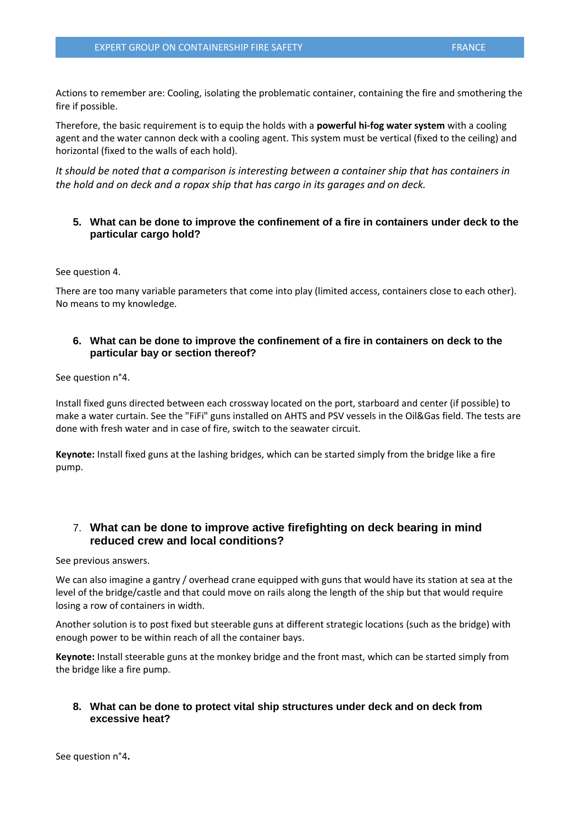Actions to remember are: Cooling, isolating the problematic container, containing the fire and smothering the fire if possible.

Therefore, the basic requirement is to equip the holds with a **powerful hi-fog water system** with a cooling agent and the water cannon deck with a cooling agent. This system must be vertical (fixed to the ceiling) and horizontal (fixed to the walls of each hold).

*It should be noted that a comparison is interesting between a container ship that has containers in the hold and on deck and a ropax ship that has cargo in its garages and on deck.*

# **5. What can be done to improve the confinement of a fire in containers under deck to the particular cargo hold?**

See question 4.

There are too many variable parameters that come into play (limited access, containers close to each other). No means to my knowledge.

# **6. What can be done to improve the confinement of a fire in containers on deck to the particular bay or section thereof?**

See question n°4.

Install fixed guns directed between each crossway located on the port, starboard and center (if possible) to make a water curtain. See the "FiFi" guns installed on AHTS and PSV vessels in the Oil&Gas field. The tests are done with fresh water and in case of fire, switch to the seawater circuit.

**Keynote:** Install fixed guns at the lashing bridges, which can be started simply from the bridge like a fire pump.

# 7. **What can be done to improve active firefighting on deck bearing in mind reduced crew and local conditions?**

See previous answers.

We can also imagine a gantry / overhead crane equipped with guns that would have its station at sea at the level of the bridge/castle and that could move on rails along the length of the ship but that would require losing a row of containers in width.

Another solution is to post fixed but steerable guns at different strategic locations (such as the bridge) with enough power to be within reach of all the container bays.

**Keynote:** Install steerable guns at the monkey bridge and the front mast, which can be started simply from the bridge like a fire pump.

# **8. What can be done to protect vital ship structures under deck and on deck from excessive heat?**

See question n°4**.**